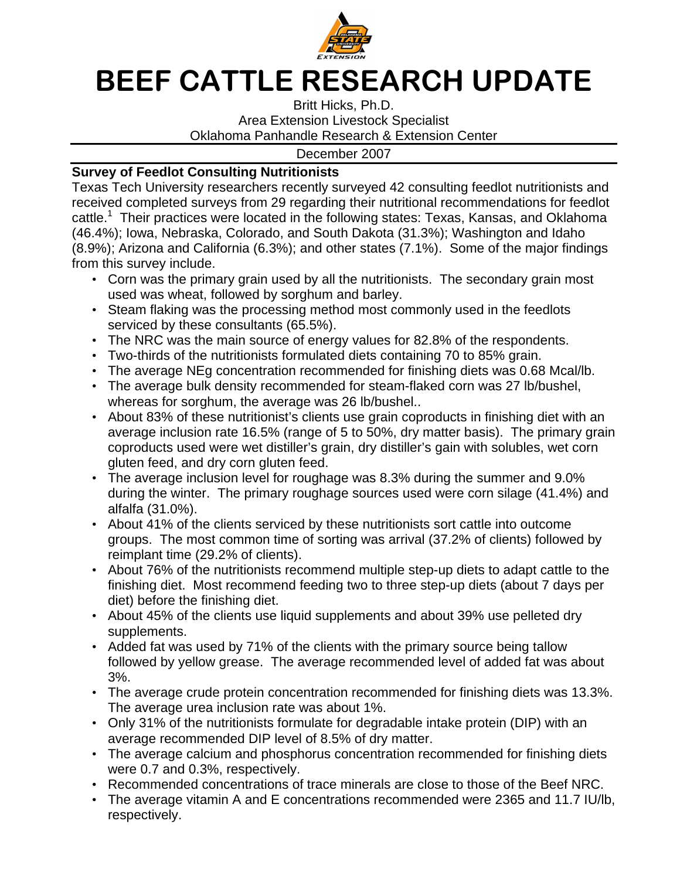

## BEEF CATTLE RESEARCH UPDATE

Britt Hicks, Ph.D. Area Extension Livestock Specialist Oklahoma Panhandle Research & Extension Center

December 2007

## **Survey of Feedlot Consulting Nutritionists**

Texas Tech University researchers recently surveyed 42 consulting feedlot nutritionists and received completed surveys from 29 regarding their nutritional recommendations for feedlot cattle.<sup>1</sup> Their practices were located in the following states: Texas, Kansas, and Oklahoma (46.4%); Iowa, Nebraska, Colorado, and South Dakota (31.3%); Washington and Idaho (8.9%); Arizona and California (6.3%); and other states (7.1%). Some of the major findings from this survey include.

- Corn was the primary grain used by all the nutritionists. The secondary grain most used was wheat, followed by sorghum and barley.
- Steam flaking was the processing method most commonly used in the feedlots serviced by these consultants (65.5%).
- The NRC was the main source of energy values for 82.8% of the respondents.
- Two-thirds of the nutritionists formulated diets containing 70 to 85% grain.
- The average NEg concentration recommended for finishing diets was 0.68 Mcal/lb.
- The average bulk density recommended for steam-flaked corn was 27 lb/bushel, whereas for sorghum, the average was 26 lb/bushel..
- About 83% of these nutritionist's clients use grain coproducts in finishing diet with an average inclusion rate 16.5% (range of 5 to 50%, dry matter basis). The primary grain coproducts used were wet distiller's grain, dry distiller's gain with solubles, wet corn gluten feed, and dry corn gluten feed.
- The average inclusion level for roughage was 8.3% during the summer and 9.0% during the winter. The primary roughage sources used were corn silage (41.4%) and alfalfa (31.0%).
- About 41% of the clients serviced by these nutritionists sort cattle into outcome groups. The most common time of sorting was arrival (37.2% of clients) followed by reimplant time (29.2% of clients).
- About 76% of the nutritionists recommend multiple step-up diets to adapt cattle to the finishing diet. Most recommend feeding two to three step-up diets (about 7 days per diet) before the finishing diet.
- About 45% of the clients use liquid supplements and about 39% use pelleted dry supplements.
- Added fat was used by 71% of the clients with the primary source being tallow followed by yellow grease. The average recommended level of added fat was about 3%.
- The average crude protein concentration recommended for finishing diets was 13.3%. The average urea inclusion rate was about 1%.
- Only 31% of the nutritionists formulate for degradable intake protein (DIP) with an average recommended DIP level of 8.5% of dry matter.
- The average calcium and phosphorus concentration recommended for finishing diets were 0.7 and 0.3%, respectively.
- Recommended concentrations of trace minerals are close to those of the Beef NRC.
- The average vitamin A and E concentrations recommended were 2365 and 11.7 IU/lb, respectively.